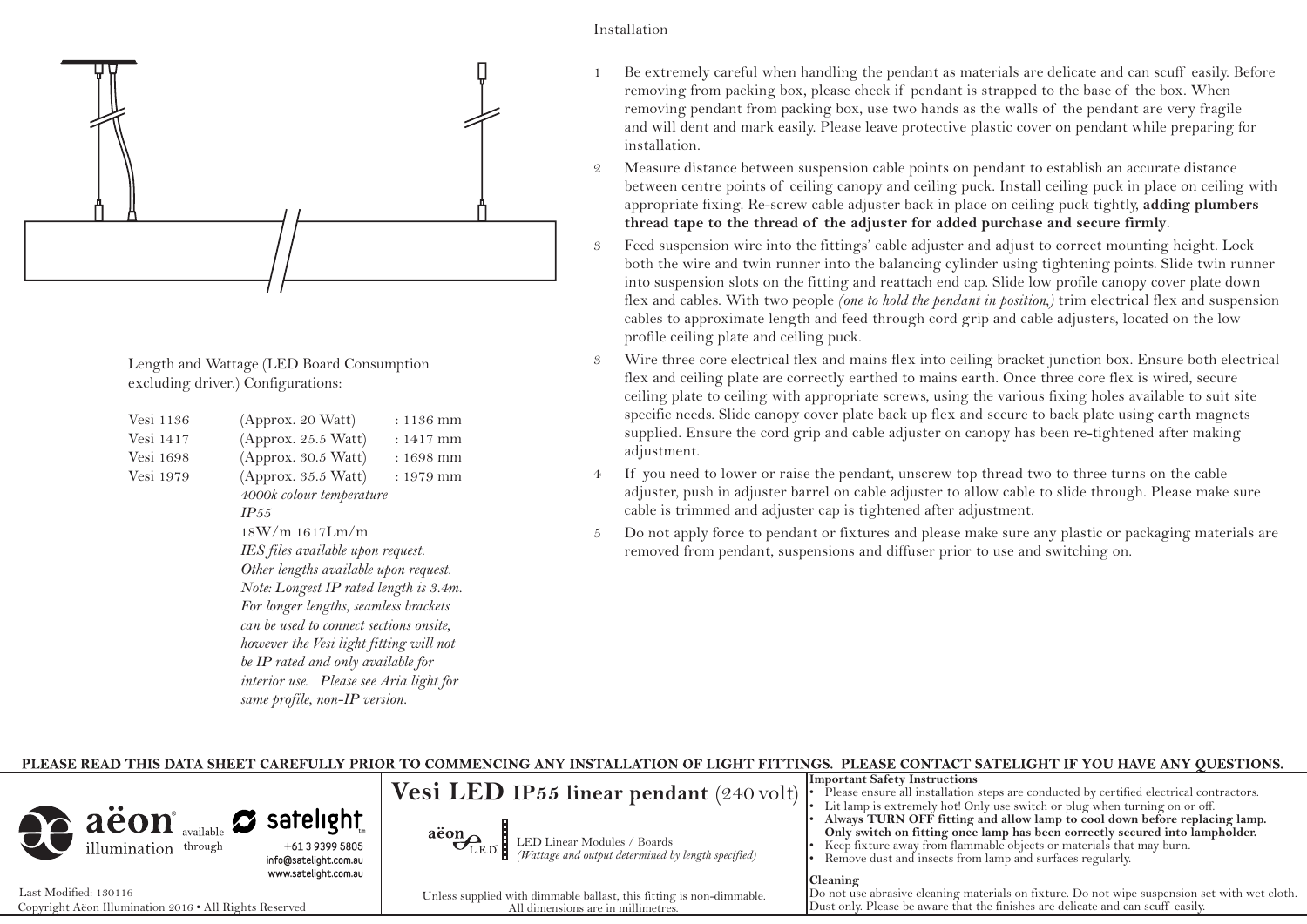

Length and Wattage (LED Board Consumption excluding driver.) Configurations:

| Vesi 1136 | (Approx. 20 Watt)                       | : 1136 mm   |  |
|-----------|-----------------------------------------|-------------|--|
| Vesi 1417 | (Approx. 25.5 Watt)                     | : 1417 mm   |  |
| Vesi 1698 | (Approx. 30.5 Watt)                     | $: 1698$ mm |  |
| Vesi 1979 | (Approx. 35.5 Watt)                     | : 1979 mm   |  |
|           | 4000k colour temperature                |             |  |
|           | IP55                                    |             |  |
|           | 18W/m 1617Lm/m                          |             |  |
|           | IES files available upon request.       |             |  |
|           | Other lengths available upon request.   |             |  |
|           | Note: Longest IP rated length is 3.4m.  |             |  |
|           | For longer lengths, seamless brackets   |             |  |
|           | can be used to connect sections onsite, |             |  |
|           | however the Vesi light fitting will not |             |  |
|           | be IP rated and only available for      |             |  |
|           | interior use. Please see Aria light for |             |  |
|           | same profile, non-IP version.           |             |  |
|           |                                         |             |  |

- 1 Be extremely careful when handling the pendant as materials are delicate and can scuff easily. Before removing from packing box, please check if pendant is strapped to the base of the box. When removing pendant from packing box, use two hands as the walls of the pendant are very fragile and will dent and mark easily. Please leave protective plastic cover on pendant while preparing for installation.
- 2 Measure distance between suspension cable points on pendant to establish an accurate distance between centre points of ceiling canopy and ceiling puck. Install ceiling puck in place on ceiling with appropriate fixing. Re-screw cable adjuster back in place on ceiling puck tightly, **adding plumbers thread tape to the thread of the adjuster for added purchase and secure firmly**.
- 3 Feed suspension wire into the fittings' cable adjuster and adjust to correct mounting height. Lock both the wire and twin runner into the balancing cylinder using tightening points. Slide twin runner into suspension slots on the fitting and reattach end cap. Slide low profile canopy cover plate down flex and cables. With two people *(one to hold the pendant in position,)* trim electrical flex and suspension cables to approximate length and feed through cord grip and cable adjusters, located on the low profile ceiling plate and ceiling puck.
- 3 Wire three core electrical flex and mains flex into ceiling bracket junction box. Ensure both electrical flex and ceiling plate are correctly earthed to mains earth. Once three core flex is wired, secure ceiling plate to ceiling with appropriate screws, using the various fixing holes available to suit site specific needs. Slide canopy cover plate back up flex and secure to back plate using earth magnets supplied. Ensure the cord grip and cable adjuster on canopy has been re-tightened after making adjustment.
- 4 If you need to lower or raise the pendant, unscrew top thread two to three turns on the cable adjuster, push in adjuster barrel on cable adjuster to allow cable to slide through. Please make sure cable is trimmed and adjuster cap is tightened after adjustment.
- 5 Do not apply force to pendant or fixtures and please make sure any plastic or packaging materials are removed from pendant, suspensions and diffuser prior to use and switching on.

#### PLEASE READ THIS DATA SHEET CAREFULLY PRIOR TO COMMENCING ANY INSTALLATION OF LIGHT FITTINGS. PLEASE CONTACT SATELIGHT IF YOU HAVE ANY QUESTIONS. **Important Safety Instructions Vesi LED IP55 linear pendant** (240 volt) Please ensure all installation steps are conducted by certified electrical contractors. Lit lamp is extremely hot! Only use switch or plug when turning on or off. aeon<sup>®</sup> available  $\boldsymbol{\mathcal{Z}}$  satelight Always TURN OFF fitting and allow lamp to cool down before replacing lamp. **Only switch on fitting once lamp has been correctly secured into lampholder.** aëon LED Linear Modules / Boards Keep fixture away from flammable objects or materials that may burn. illumination <sup>through</sup> +61 3 9399 5805 *(Wattage and output determined by length specified)* Remove dust and insects from lamp and surfaces regularly. info@satelight.com.au www.satelight.com.au **Cleaning** Last Modified: 130116 Do not use abrasive cleaning materials on fixture. Do not wipe suspension set with wet cloth. Unless supplied with dimmable ballast, this fitting is non-dimmable. Copyright Aëon Illumination 2016 • All Rights Reserved All dimensions are in millimetres. All dimensions are in millimetres.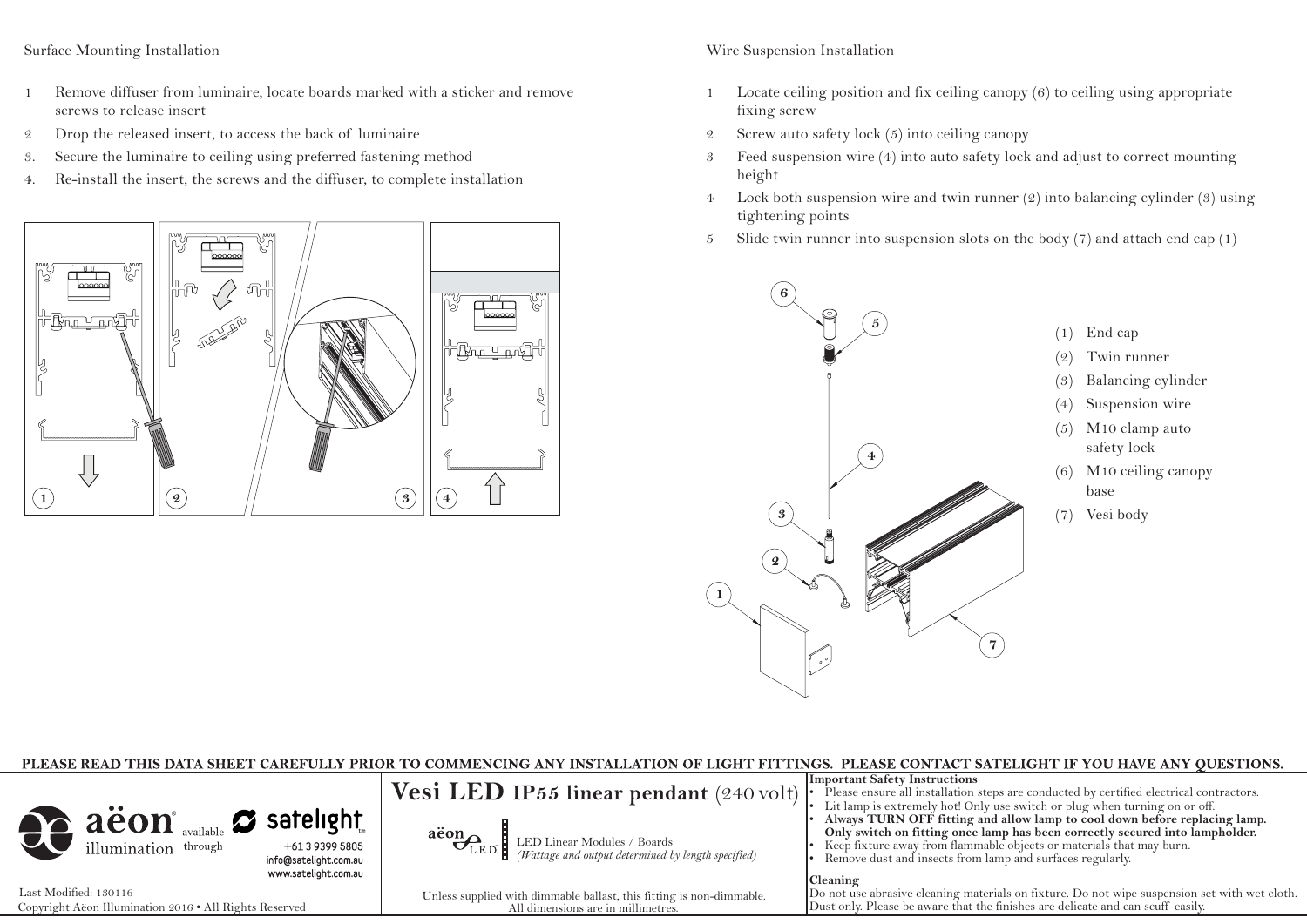#### Surface Mounting Installation

- 1 Remove diffuser from luminaire, locate boards marked with a sticker and remove screws to release insert
- 2 Drop the released insert, to access the back of luminaire
- 3. Secure the luminaire to ceiling using preferred fastening method
- 4. Re-install the insert, the screws and the diffuser, to complete installation



# Wire Suspension Installation

- 1 Locate ceiling position and fix ceiling canopy (6) to ceiling using appropriate fixing screw
- 2 Screw auto safety lock (5) into ceiling canopy
- 3 Feed suspension wire (4) into auto safety lock and adjust to correct mounting height
- 4 Lock both suspension wire and twin runner (2) into balancing cylinder (3) using tightening points
- 5 Slide twin runner into suspension slots on the body  $(7)$  and attach end cap  $(1)$



| PLEASE READ THIS DATA SHEET CAREFULLY PRIOR TO COMMENCING ANY INSTALLATION OF LIGHT FITTINGS. PLEASE CONTACT SATELIGHT IF YOU HAVE ANY OUESTIONS. |                                                                                                            |                                                                                                                                                                                                                                                                                                                                                                                                                                                                                                                                                                                                             |  |  |
|---------------------------------------------------------------------------------------------------------------------------------------------------|------------------------------------------------------------------------------------------------------------|-------------------------------------------------------------------------------------------------------------------------------------------------------------------------------------------------------------------------------------------------------------------------------------------------------------------------------------------------------------------------------------------------------------------------------------------------------------------------------------------------------------------------------------------------------------------------------------------------------------|--|--|
| aëon available satelight<br>info@satelight.com.au<br>www.satelight.com.au                                                                         | $\overbrace{C_{\text{L.E.D.}}}\text{LED Linear Modules / Board}$                                           | <b>Important Safety Instructions</b><br><b>Vesi LED IP55 linear pendant</b> (240 volt) $\left \frac{1}{2}\right $ is lease ensure all installation steps are conducted by certified electrical contractors.<br>• Lit lamp is extremely hot! Only use switch or plug when turning on or off.<br>Always TURN OFF fitting and allow lamp to cool down before replacing lamp.<br>Only switch on fitting once lamp has been correctly secured into lampholder.<br>Keep fixture away from flammable objects or materials that may burn.<br>Remove dust and insects from lamp and surfaces regularly.<br> Cleaning |  |  |
| Last Modified: 130116<br>Copyright Aëon Illumination 2016 . All Rights Reserved                                                                   | Unless supplied with dimmable ballast, this fitting is non-dimmable.<br>All dimensions are in millimetres. | Do not use abrasive cleaning materials on fixture. Do not wipe suspension set with wet cloth.<br>Dust only. Please be aware that the finishes are delicate and can scuff easily.                                                                                                                                                                                                                                                                                                                                                                                                                            |  |  |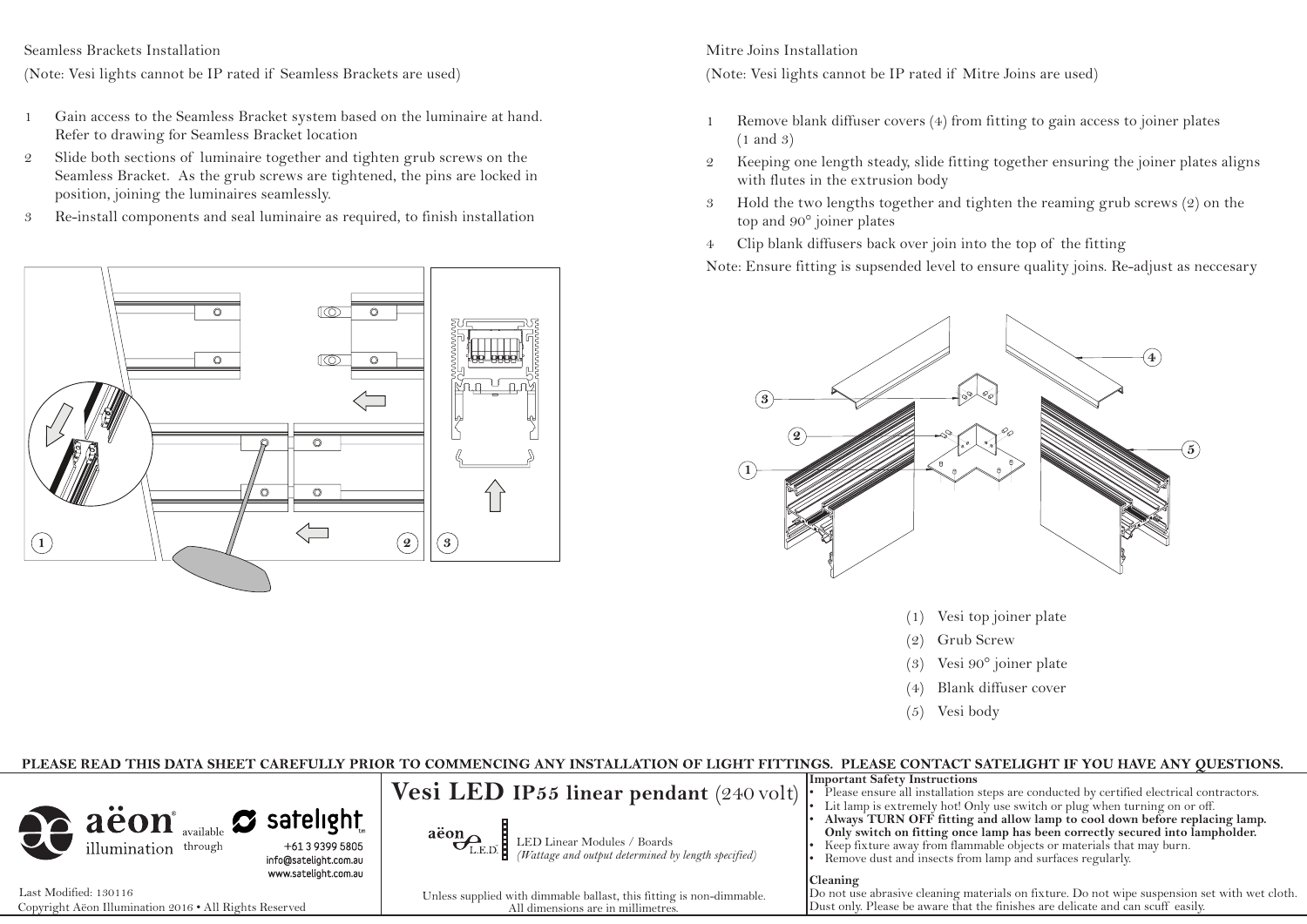Seamless Brackets Installation

(Note: Vesi lights cannot be IP rated if Seamless Brackets are used)

- 1 Gain access to the Seamless Bracket system based on the luminaire at hand. Refer to drawing for Seamless Bracket location
- 2 Slide both sections of luminaire together and tighten grub screws on the Seamless Bracket. As the grub screws are tightened, the pins are locked in position, joining the luminaires seamlessly.
- 3 Re-install components and seal luminaire as required, to finish installation



Mitre Joins Installation (Note: Vesi lights cannot be IP rated if Mitre Joins are used)

- 1 Remove blank diffuser covers (4) from fitting to gain access to joiner plates (1 and 3)
- 2 Keeping one length steady, slide fitting together ensuring the joiner plates aligns with flutes in the extrusion body
- 3 Hold the two lengths together and tighten the reaming grub screws (2) on the top and 90° joiner plates
- 4 Clip blank diffusers back over join into the top of the fitting

Note: Ensure fitting is supsended level to ensure quality joins. Re-adjust as neccesary



- (1) Vesi top joiner plate
- (2) Grub Screw
- (3) Vesi 90° joiner plate
- (4) Blank diffuser cover
- (5) Vesi body

# PLEASE READ THIS DATA SHEET CAREFULLY PRIOR TO COMMENCING ANY INSTALLATION OF LIGHT FITTINGS. PLEASE CONTACT SATELIGHT IF YOU HAVE ANY QUESTIONS.